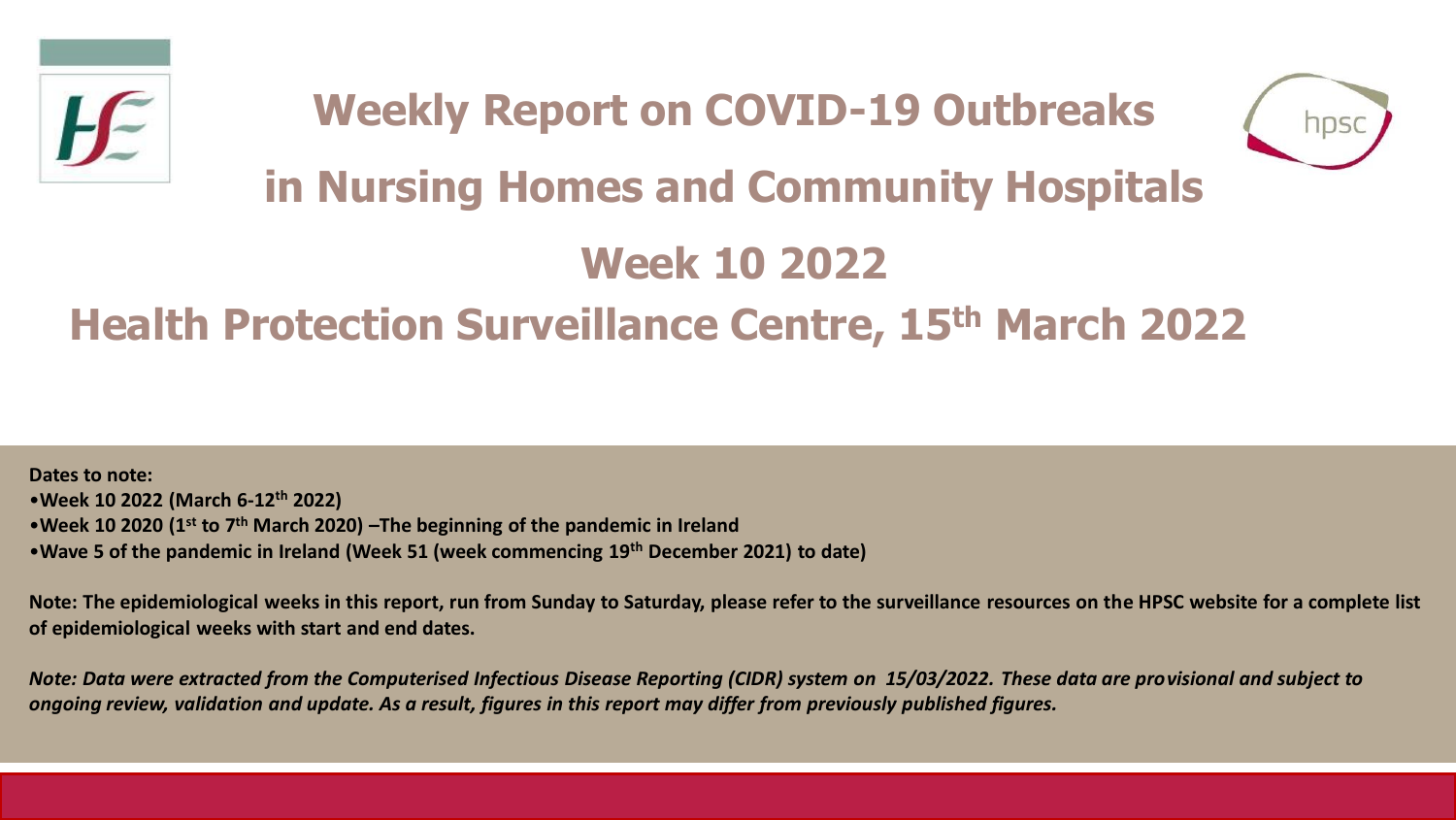



# **in Nursing Homes and Community Hospitals**

# **Week 10 2022**

# **Health Protection Surveillance Centre, 15th March 2022**

**Dates to note:** •**Week 10 2022 (March 6-12th 2022)** •**Week 10 2020 (1st to 7th March 2020) –The beginning of the pandemic in Ireland**  •**Wave 5 of the pandemic in Ireland (Week 51 (week commencing 19th December 2021) to date)**

**Note: The epidemiological weeks in this report, run from Sunday to Saturday, please refer to the surveillance resources on the HPSC website for a complete list of epidemiological weeks with start and end dates.**

*Note: Data were extracted from the Computerised Infectious Disease Reporting (CIDR) system on 15/03/2022. These data are provisional and subject to ongoing review, validation and update. As a result, figures in this report may differ from previously published figures.*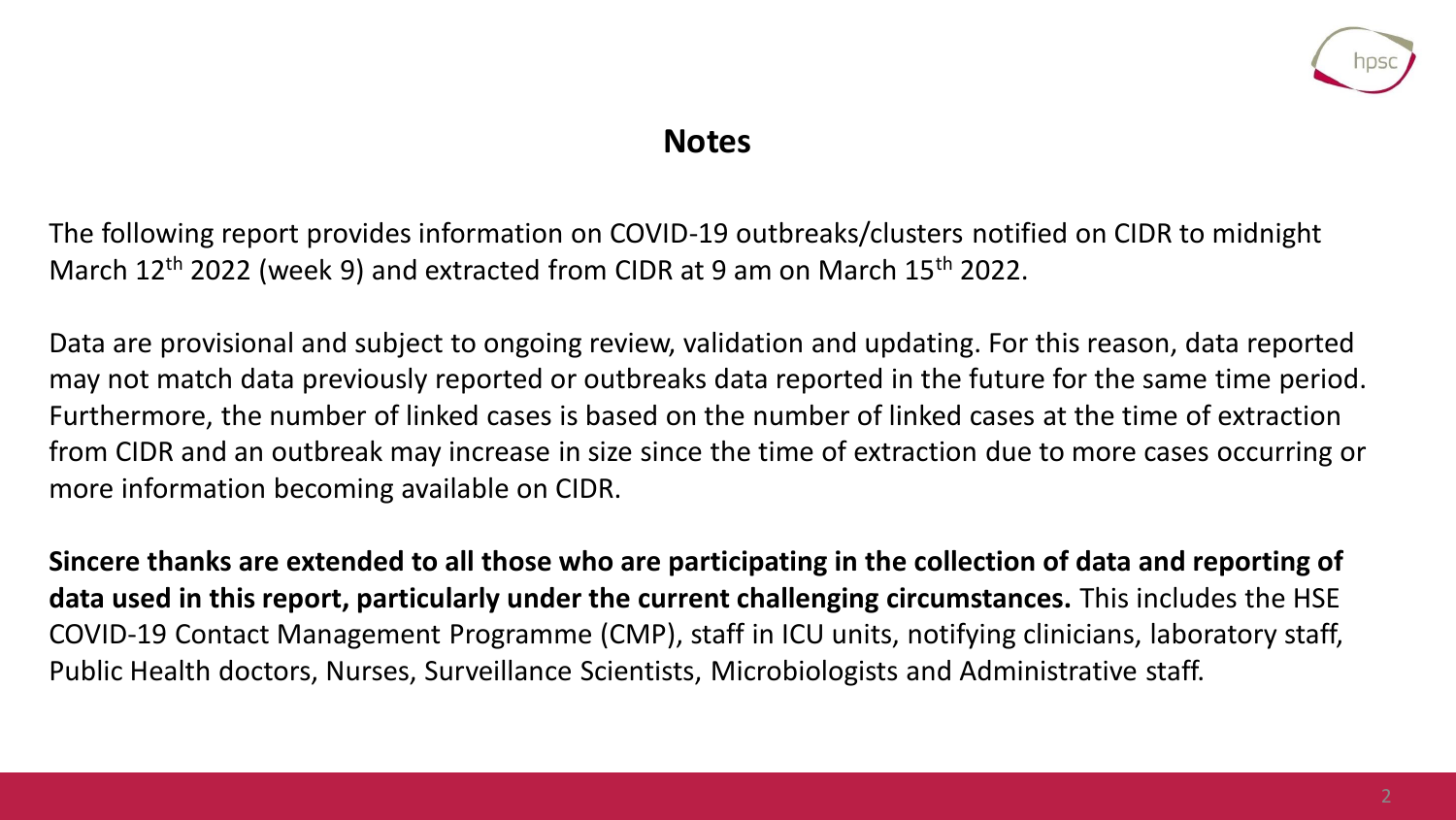

### **Notes**

The following report provides information on COVID-19 outbreaks/clusters notified on CIDR to midnight March 12<sup>th</sup> 2022 (week 9) and extracted from CIDR at 9 am on March 15<sup>th</sup> 2022.

Data are provisional and subject to ongoing review, validation and updating. For this reason, data reported may not match data previously reported or outbreaks data reported in the future for the same time period. Furthermore, the number of linked cases is based on the number of linked cases at the time of extraction from CIDR and an outbreak may increase in size since the time of extraction due to more cases occurring or more information becoming available on CIDR.

**Sincere thanks are extended to all those who are participating in the collection of data and reporting of data used in this report, particularly under the current challenging circumstances.** This includes the HSE COVID-19 Contact Management Programme (CMP), staff in ICU units, notifying clinicians, laboratory staff, Public Health doctors, Nurses, Surveillance Scientists, Microbiologists and Administrative staff.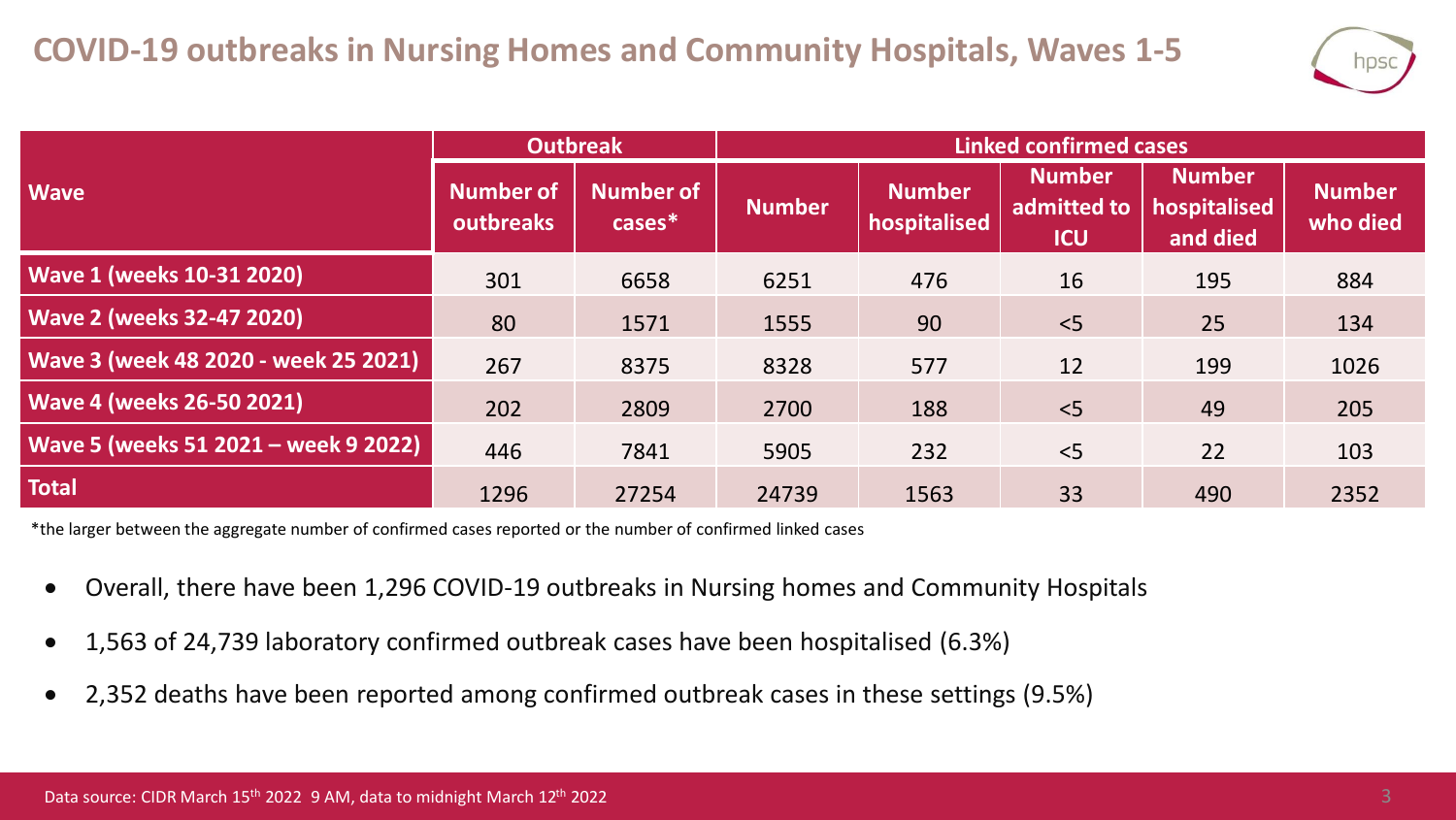

|                                      | <b>Outbreak</b>               |                               | <b>Linked confirmed cases</b> |                               |                                            |                                           |                           |  |
|--------------------------------------|-------------------------------|-------------------------------|-------------------------------|-------------------------------|--------------------------------------------|-------------------------------------------|---------------------------|--|
| <b>Wave</b>                          | <b>Number of</b><br>outbreaks | <b>Number of</b><br>$cases^*$ | <b>Number</b>                 | <b>Number</b><br>hospitalised | <b>Number</b><br>admitted to<br><b>ICU</b> | <b>Number</b><br>hospitalised<br>and died | <b>Number</b><br>who died |  |
| <b>Wave 1 (weeks 10-31 2020)</b>     | 301                           | 6658                          | 6251                          | 476                           | 16                                         | 195                                       | 884                       |  |
| <b>Wave 2 (weeks 32-47 2020)</b>     | 80                            | 1571                          | 1555                          | 90                            | < 5                                        | 25                                        | 134                       |  |
| Wave 3 (week 48 2020 - week 25 2021) | 267                           | 8375                          | 8328                          | 577                           | 12                                         | 199                                       | 1026                      |  |
| <b>Wave 4 (weeks 26-50 2021)</b>     | 202                           | 2809                          | 2700                          | 188                           | < 5                                        | 49                                        | 205                       |  |
| Wave 5 (weeks 51 2021 - week 9 2022) | 446                           | 7841                          | 5905                          | 232                           | $<$ 5                                      | 22                                        | 103                       |  |
| <b>Total</b>                         | 1296                          | 27254                         | 24739                         | 1563                          | 33                                         | 490                                       | 2352                      |  |

\*the larger between the aggregate number of confirmed cases reported or the number of confirmed linked cases

- Overall, there have been 1,296 COVID-19 outbreaks in Nursing homes and Community Hospitals
- 1,563 of 24,739 laboratory confirmed outbreak cases have been hospitalised (6.3%)
- 2,352 deaths have been reported among confirmed outbreak cases in these settings (9.5%)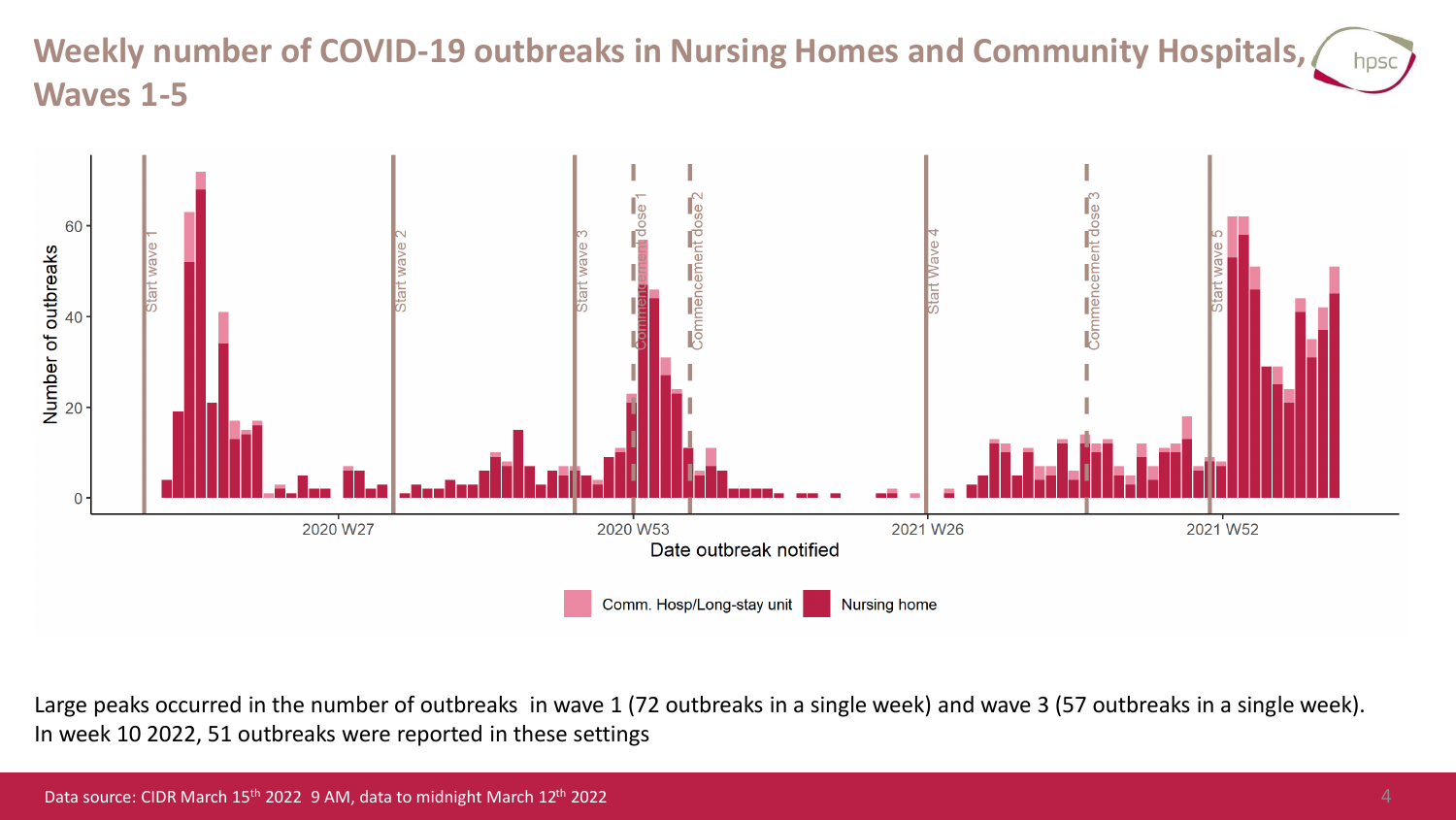#### **Weekly number of COVID-19 outbreaks in Nursing Homes and Community Hospitals,**  hpsc **Waves 1-5**



Large peaks occurred in the number of outbreaks in wave 1 (72 outbreaks in a single week) and wave 3 (57 outbreaks in a single week). In week 10 2022, 51 outbreaks were reported in these settings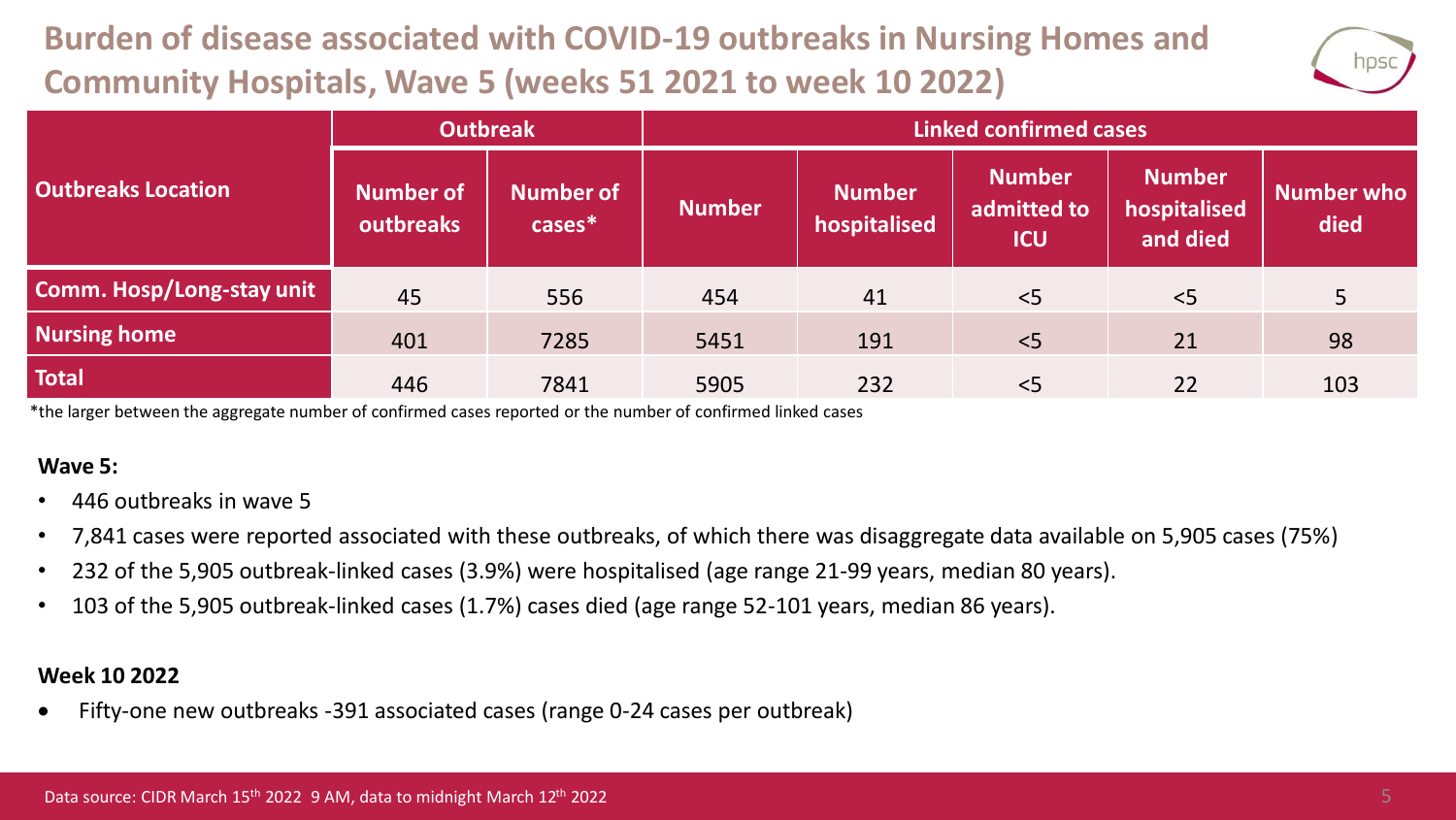# **Burden of disease associated with COVID-19 outbreaks in Nursing Homes and Community Hospitals, Wave 5 (weeks 51 2021 to week 10 2022)**



|                           | <b>Outbreak</b>        |                               | <b>Linked confirmed cases</b> |                               |                                            |                                           |                           |  |
|---------------------------|------------------------|-------------------------------|-------------------------------|-------------------------------|--------------------------------------------|-------------------------------------------|---------------------------|--|
| <b>Outbreaks Location</b> | Number of<br>outbreaks | <b>Number of</b><br>$cases^*$ | <b>Number</b>                 | <b>Number</b><br>hospitalised | <b>Number</b><br>admitted to<br><b>ICU</b> | <b>Number</b><br>hospitalised<br>and died | <b>Number who</b><br>died |  |
| Comm. Hosp/Long-stay unit | 45                     | 556                           | 454                           | 41                            | < 5                                        | < 5                                       | $\overline{5}$            |  |
| <b>Nursing home</b>       | 401                    | 7285                          | 5451                          | 191                           | < 5                                        | 21                                        | 98                        |  |
| <b>Total</b>              | 446                    | 7841                          | 5905                          | 232                           | < 5                                        | 22                                        | 103                       |  |

\*the larger between the aggregate number of confirmed cases reported or the number of confirmed linked cases

#### **Wave 5:**

- 446 outbreaks in wave 5
- 7,841 cases were reported associated with these outbreaks, of which there was disaggregate data available on 5,905 cases (75%)
- 232 of the 5,905 outbreak-linked cases (3.9%) were hospitalised (age range 21-99 years, median 80 years).
- 103 of the 5,905 outbreak-linked cases (1.7%) cases died (age range 52-101 years, median 86 years).

#### **Week 10 2022**

• Fifty-one new outbreaks -391 associated cases (range 0-24 cases per outbreak)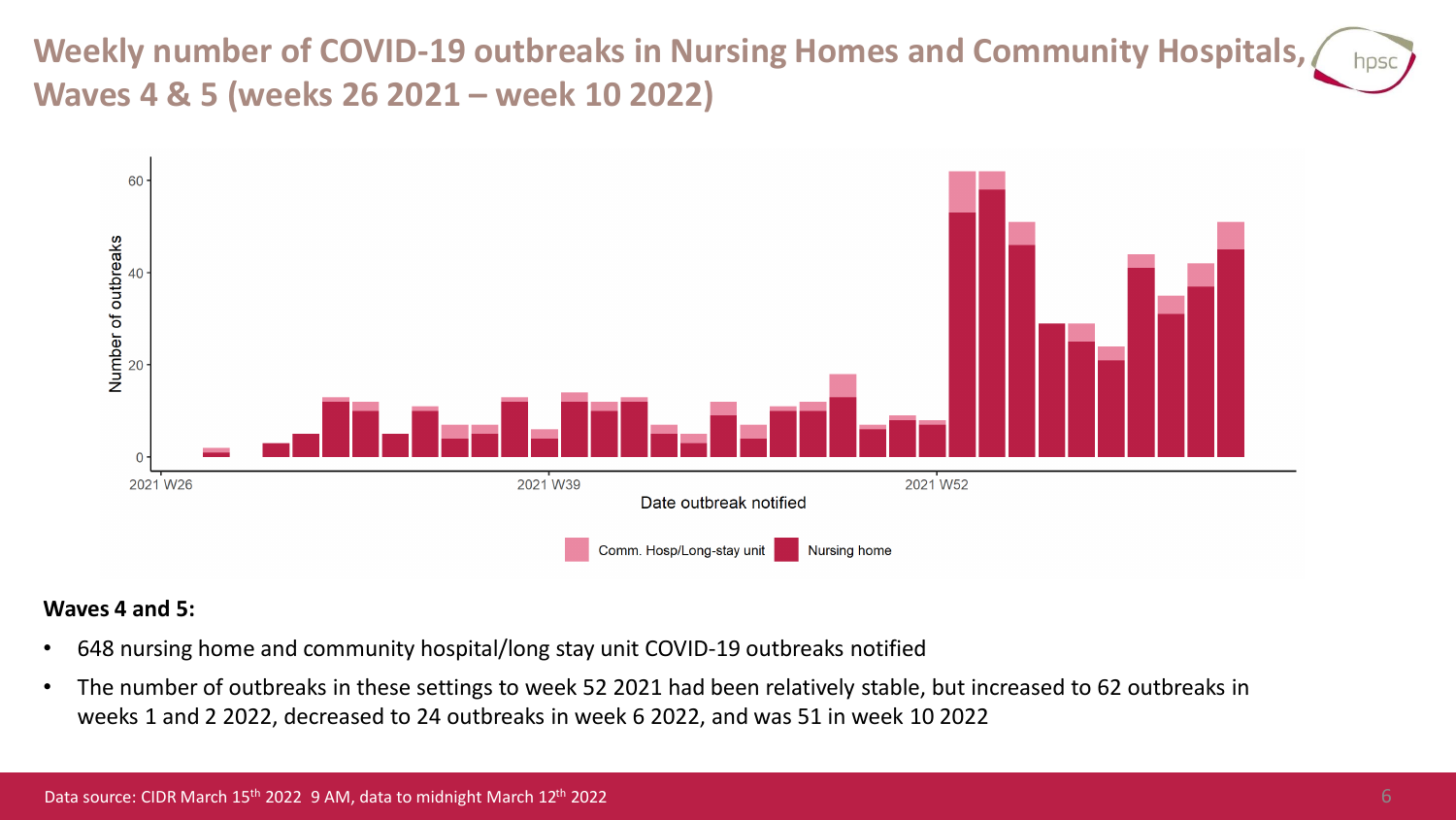**Weekly number of COVID-19 outbreaks in Nursing Homes and Community Hospitals, Waves 4 & 5 (weeks 26 2021 – week 10 2022)**



#### **Waves 4 and 5:**

- 648 nursing home and community hospital/long stay unit COVID-19 outbreaks notified
- The number of outbreaks in these settings to week 52 2021 had been relatively stable, but increased to 62 outbreaks in weeks 1 and 2 2022, decreased to 24 outbreaks in week 6 2022, and was 51 in week 10 2022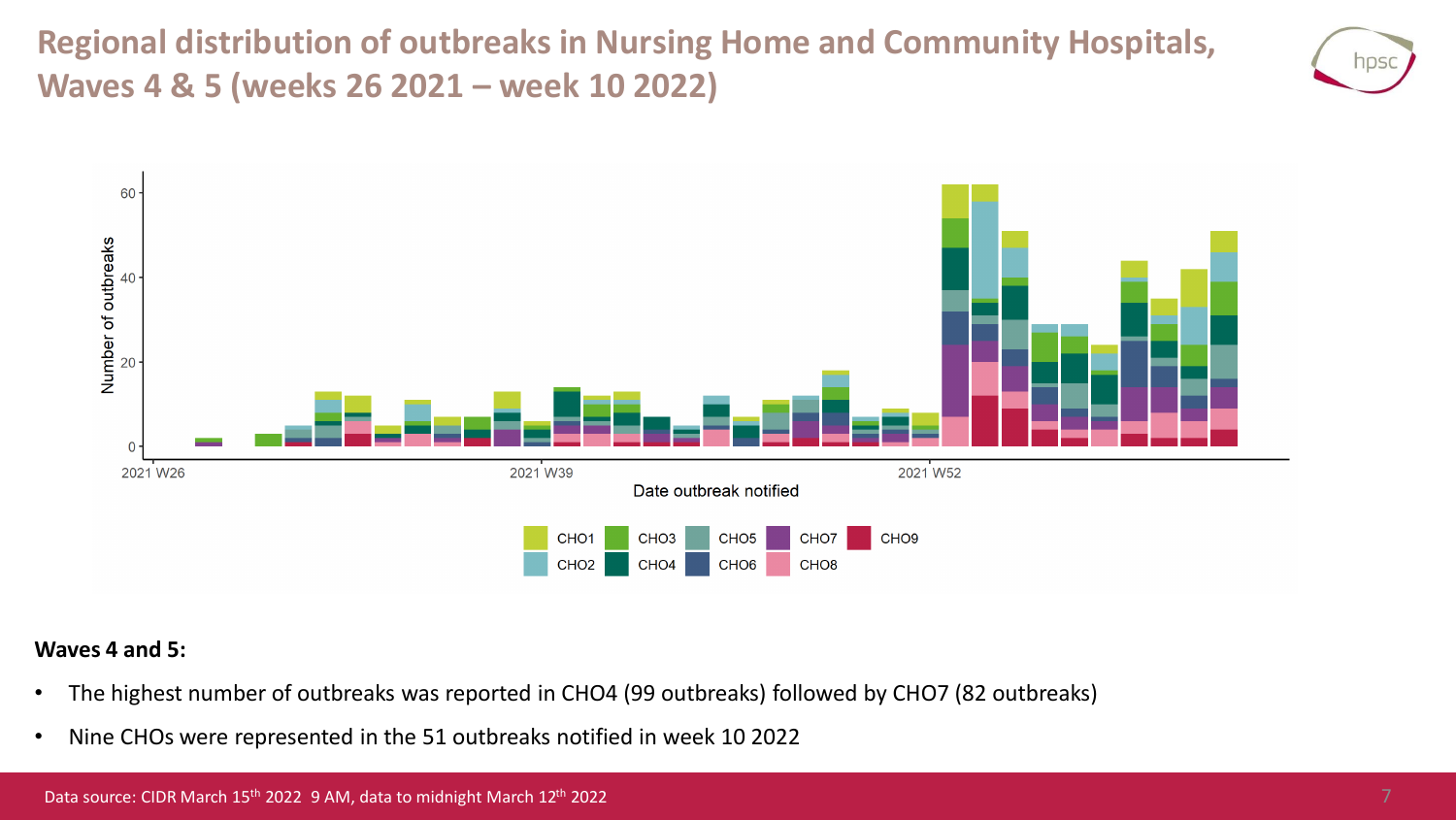**Regional distribution of outbreaks in Nursing Home and Community Hospitals, Waves 4 & 5 (weeks 26 2021 – week 10 2022)**





#### **Waves 4 and 5:**

- The highest number of outbreaks was reported in CHO4 (99 outbreaks) followed by CHO7 (82 outbreaks)
- Nine CHOs were represented in the 51 outbreaks notified in week 10 2022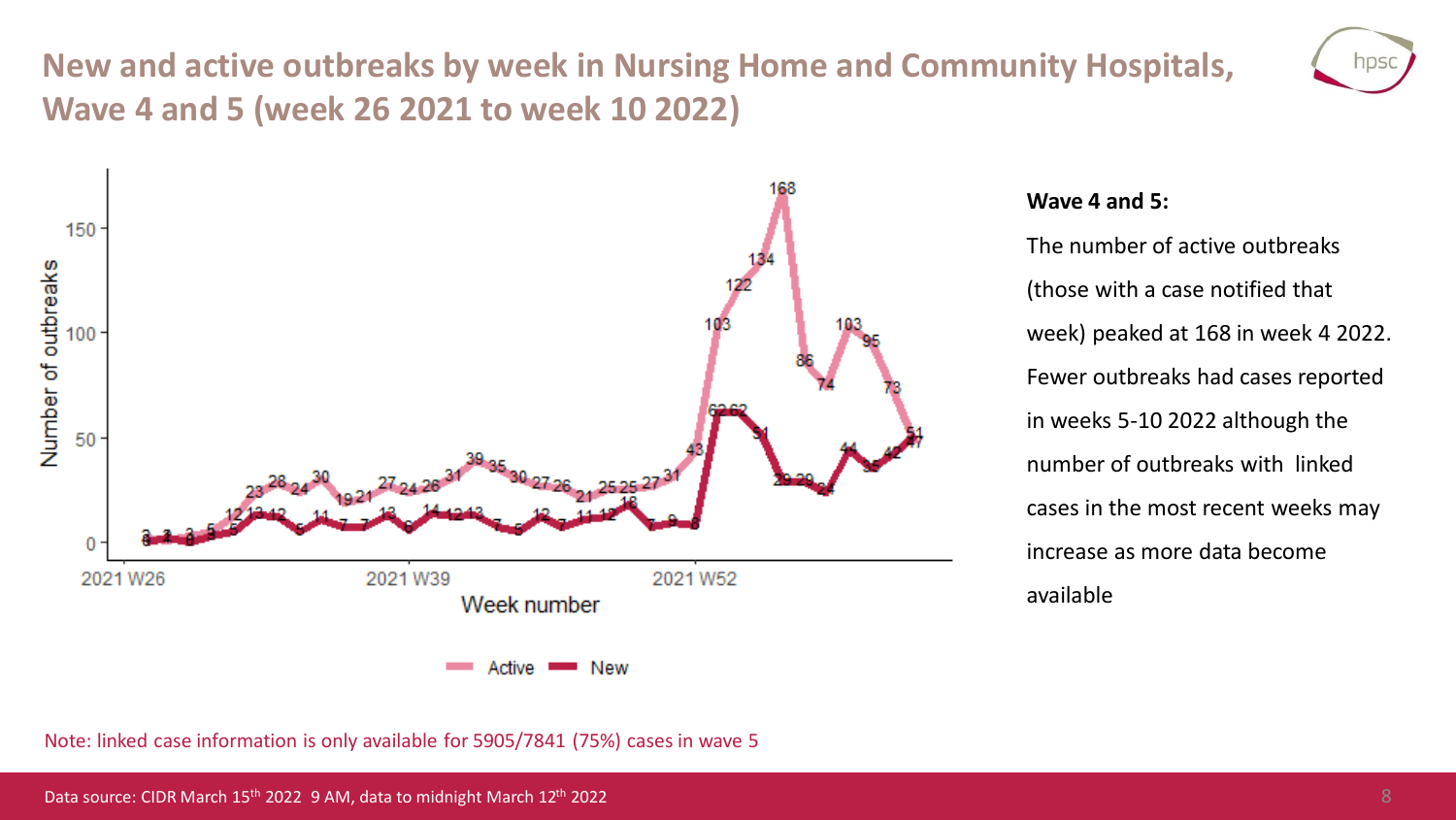## **New and active outbreaks by week in Nursing Home and Community Hospitals, Wave 4 and 5 (week 26 2021 to week 10 2022)**





#### **Wave 4 and 5:**

The number of active outbreaks (those with a case notified that week) peaked at 168 in week 4 2022. Fewer outbreaks had cases reported in weeks 5-10 2022 although the number of outbreaks with linked cases in the most recent weeks may increase as more data become available

Note: linked case information is only available for 5905/7841 (75%) cases in wave 5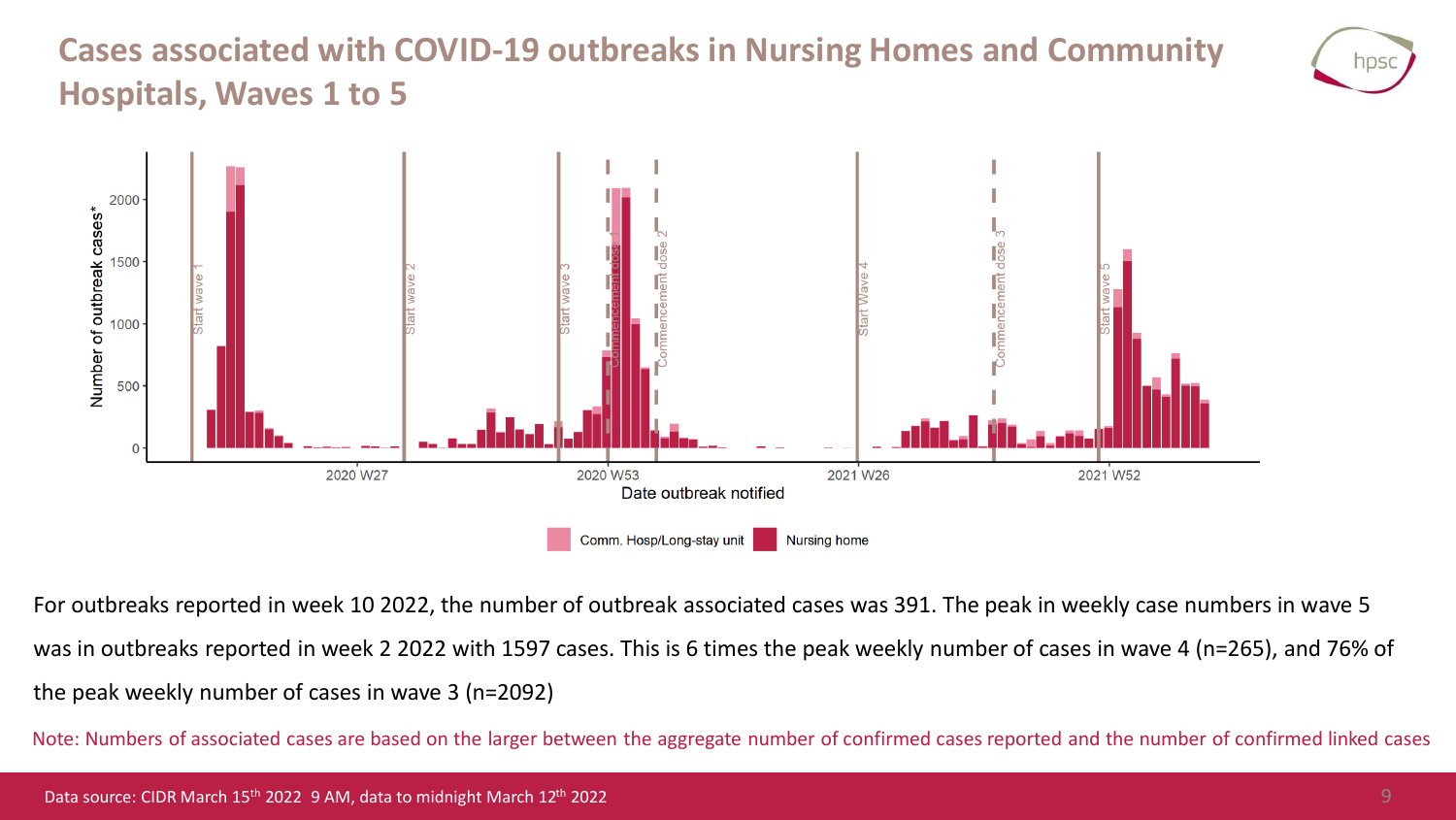### **Cases associated with COVID-19 outbreaks in Nursing Homes and Community Hospitals, Waves 1 to 5**





For outbreaks reported in week 10 2022, the number of outbreak associated cases was 391. The peak in weekly case numbers in wave 5 was in outbreaks reported in week 2 2022 with 1597 cases. This is 6 times the peak weekly number of cases in wave 4 (n=265), and 76% of the peak weekly number of cases in wave 3 (n=2092)

Note: Numbers of associated cases are based on the larger between the aggregate number of confirmed cases reported and the number of confirmed linked cases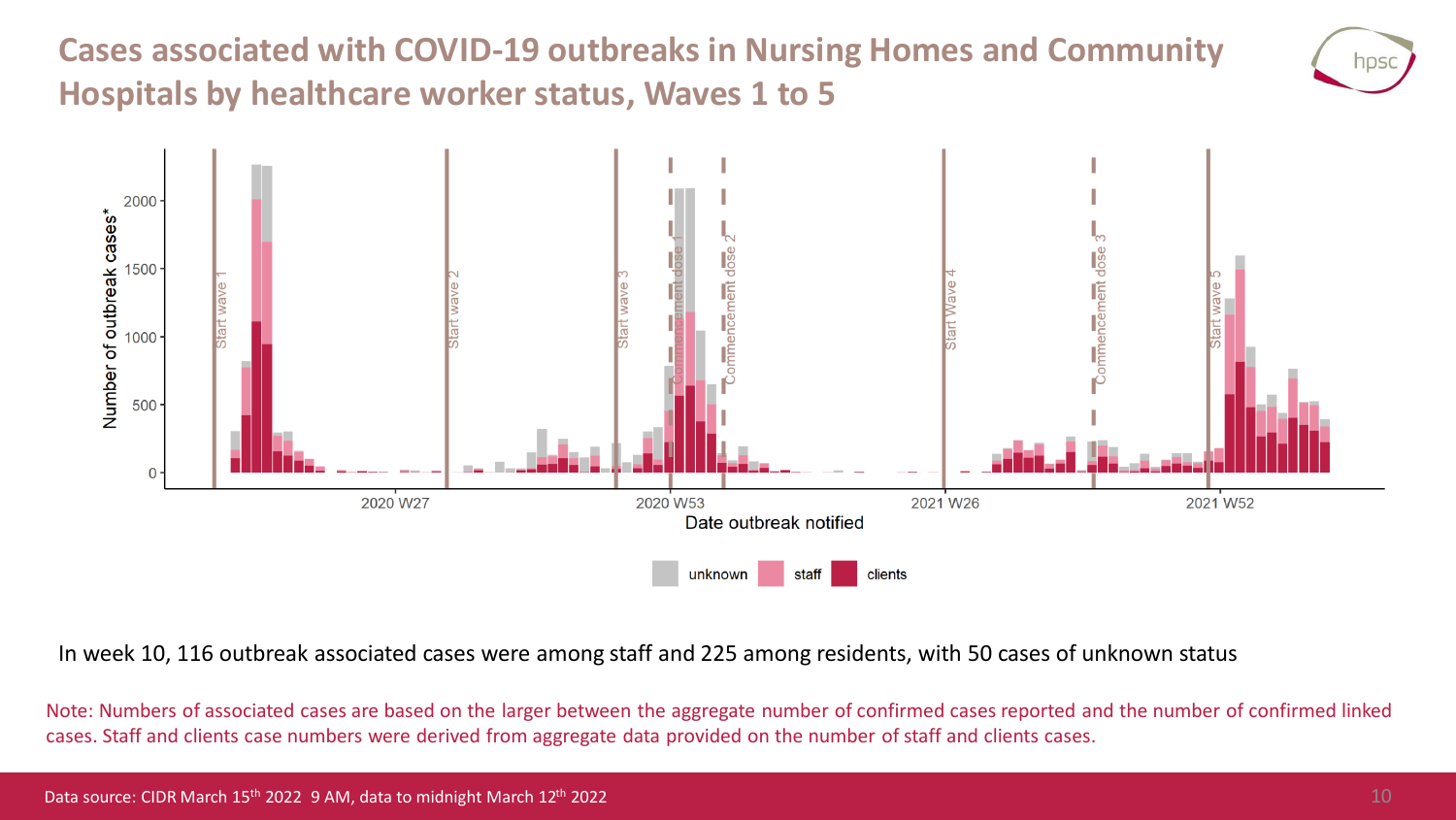**Cases associated with COVID-19 outbreaks in Nursing Homes and Community Hospitals by healthcare worker status, Waves 1 to 5**





In week 10, 116 outbreak associated cases were among staff and 225 among residents, with 50 cases of unknown status

Note: Numbers of associated cases are based on the larger between the aggregate number of confirmed cases reported and the number of confirmed linked cases. Staff and clients case numbers were derived from aggregate data provided on the number of staff and clients cases.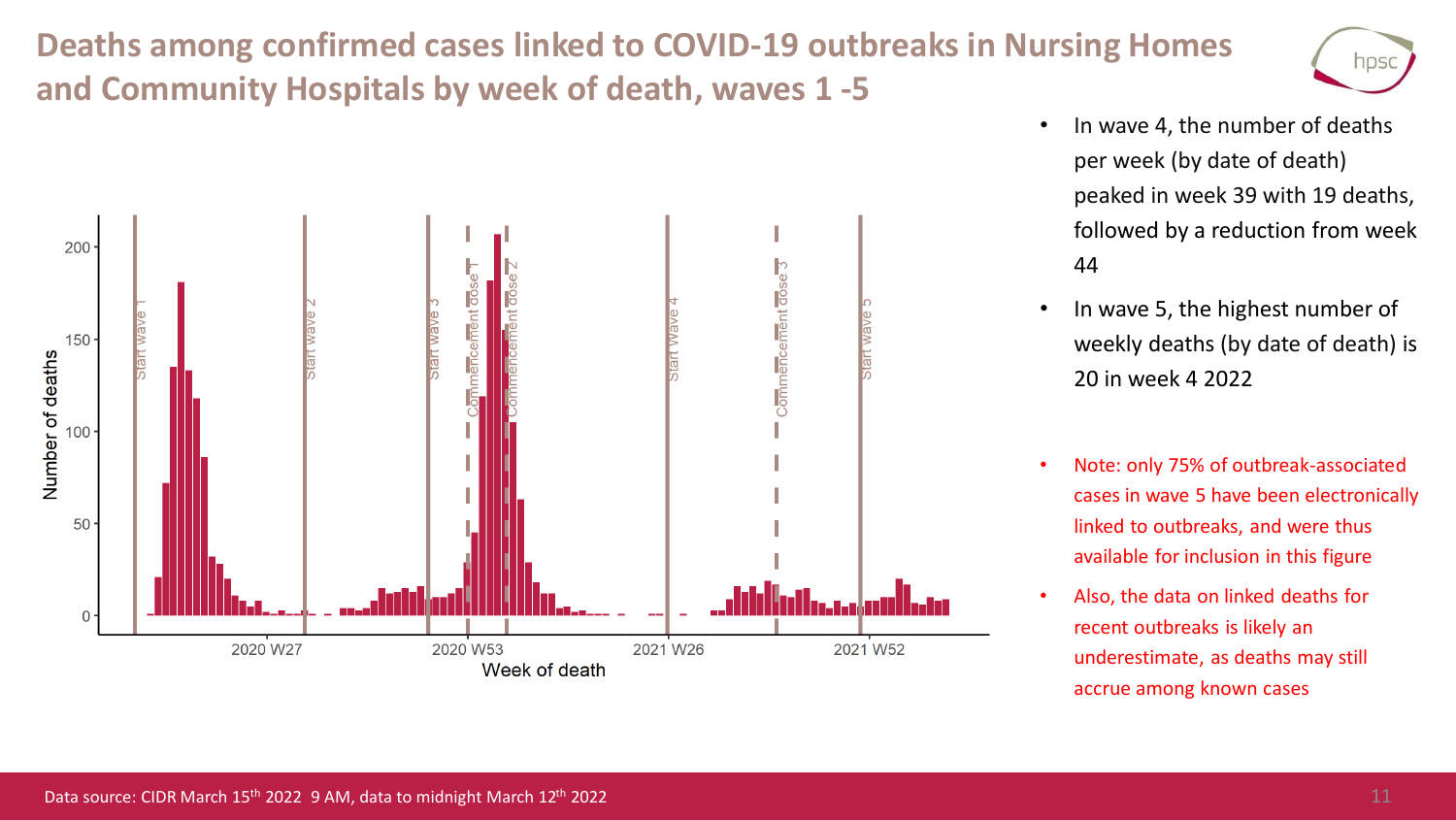## **Deaths among confirmed cases linked to COVID-19 outbreaks in Nursing Homes and Community Hospitals by week of death, waves 1 -5**



- In wave 4, the number of deaths per week (by date of death) peaked in week 39 with 19 deaths, followed by a reduction from week 44
- In wave 5, the highest number of weekly deaths (by date of death) is 20 in week 4 2022
- Note: only 75% of outbreak-associated cases in wave 5 have been electronically linked to outbreaks, and were thus available for inclusion in this figure
- Also, the data on linked deaths for recent outbreaks is likely an underestimate, as deaths may still accrue among known cases

hps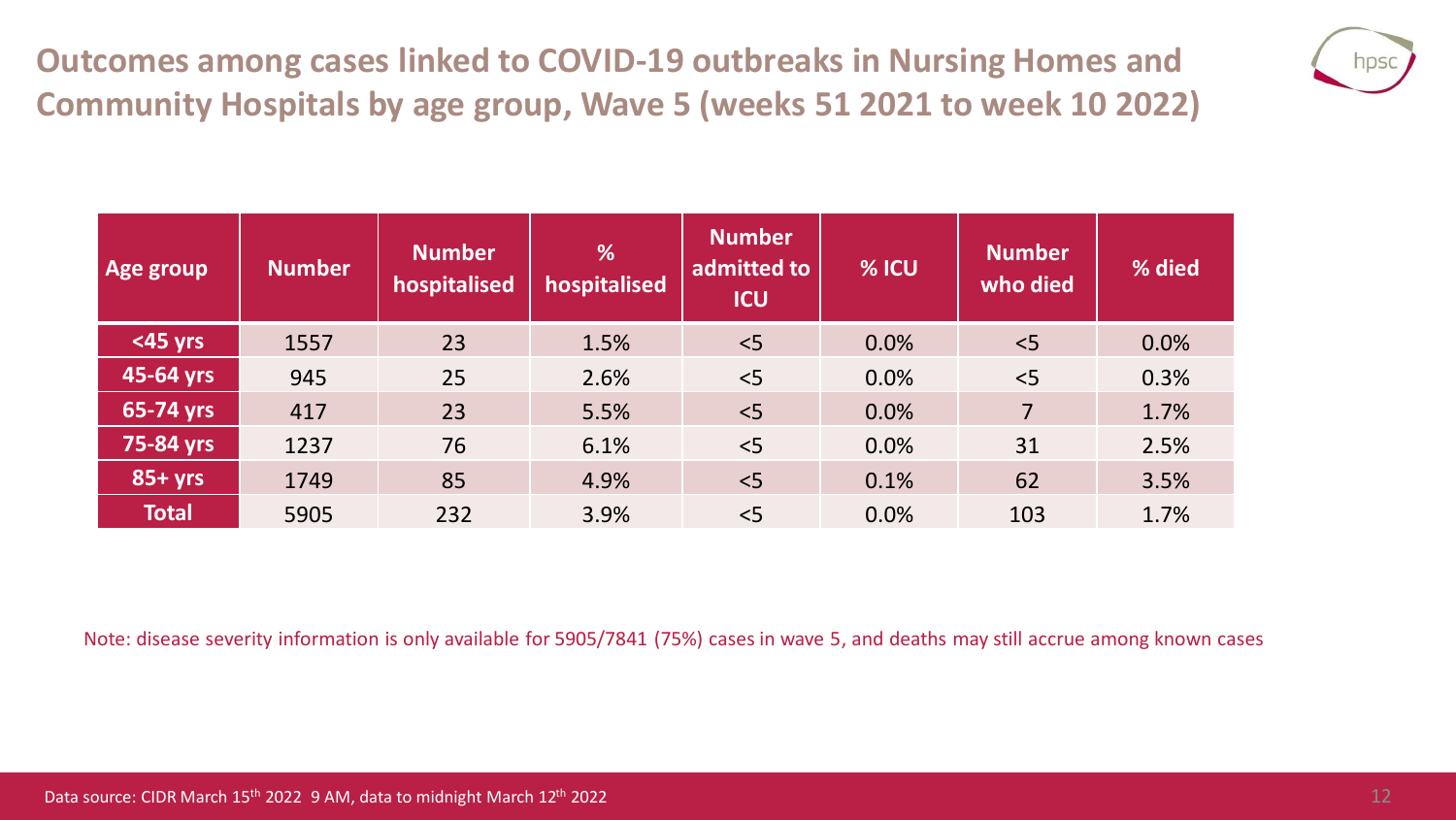**Outcomes among cases linked to COVID-19 outbreaks in Nursing Homes and Community Hospitals by age group, Wave 5 (weeks 51 2021 to week 10 2022)**



| <b>Age group</b> | <b>Number</b> | <b>Number</b><br>hospitalised | %<br>hospitalised | <b>Number</b><br>admitted to<br><b>ICU</b> | % ICU | <b>Number</b><br>who died | % died |
|------------------|---------------|-------------------------------|-------------------|--------------------------------------------|-------|---------------------------|--------|
| <45 yrs          | 1557          | 23                            | 1.5%              | < 5                                        | 0.0%  | < 5                       | 0.0%   |
| 45-64 yrs        | 945           | 25                            | 2.6%              | < 5                                        | 0.0%  | < 5                       | 0.3%   |
| 65-74 yrs        | 417           | 23                            | 5.5%              | < 5                                        | 0.0%  | $\overline{7}$            | 1.7%   |
| 75-84 yrs        | 1237          | 76                            | 6.1%              | $<$ 5                                      | 0.0%  | 31                        | 2.5%   |
| $85 + yrs$       | 1749          | 85                            | 4.9%              | < 5                                        | 0.1%  | 62                        | 3.5%   |
| <b>Total</b>     | 5905          | 232                           | 3.9%              | < 5                                        | 0.0%  | 103                       | 1.7%   |

Note: disease severity information is only available for 5905/7841 (75%) cases in wave 5, and deaths may still accrue among known cases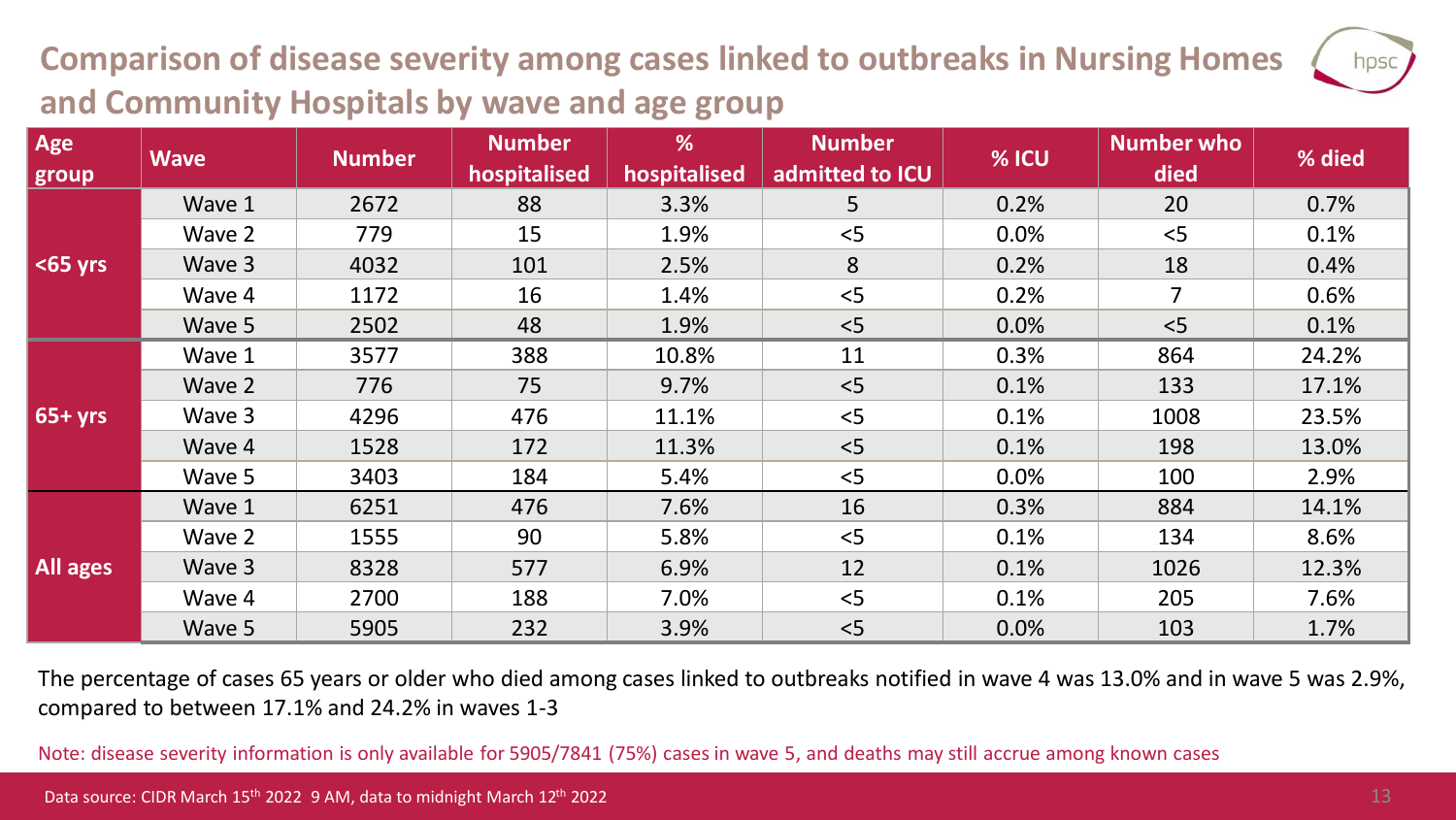## **Comparison of disease severity among cases linked to outbreaks in Nursing Homes and Community Hospitals by wave and age group**

| Age<br>group    | <b>Wave</b> | <b>Number</b> | <b>Number</b><br>hospitalised | %<br>hospitalised | <b>Number</b><br>admitted to ICU | % ICU | <b>Number who</b><br>died | % died |
|-----------------|-------------|---------------|-------------------------------|-------------------|----------------------------------|-------|---------------------------|--------|
| $ $ <65 yrs     | Wave 1      | 2672          | 88                            | 3.3%              | 5                                | 0.2%  | 20                        | 0.7%   |
|                 | Wave 2      | 779           | 15                            | 1.9%              | < 5                              | 0.0%  | < 5                       | 0.1%   |
|                 | Wave 3      | 4032          | 101                           | 2.5%              | 8                                | 0.2%  | 18                        | 0.4%   |
|                 | Wave 4      | 1172          | 16                            | 1.4%              | < 5                              | 0.2%  | $\overline{7}$            | 0.6%   |
|                 | Wave 5      | 2502          | 48                            | 1.9%              | < 5                              | 0.0%  | < 5                       | 0.1%   |
| $65 + yrs$      | Wave 1      | 3577          | 388                           | 10.8%             | 11                               | 0.3%  | 864                       | 24.2%  |
|                 | Wave 2      | 776           | 75                            | 9.7%              | < 5                              | 0.1%  | 133                       | 17.1%  |
|                 | Wave 3      | 4296          | 476                           | 11.1%             | < 5                              | 0.1%  | 1008                      | 23.5%  |
|                 | Wave 4      | 1528          | 172                           | 11.3%             | < 5                              | 0.1%  | 198                       | 13.0%  |
|                 | Wave 5      | 3403          | 184                           | 5.4%              | < 5                              | 0.0%  | 100                       | 2.9%   |
| <b>All ages</b> | Wave 1      | 6251          | 476                           | 7.6%              | 16                               | 0.3%  | 884                       | 14.1%  |
|                 | Wave 2      | 1555          | 90                            | 5.8%              | < 5                              | 0.1%  | 134                       | 8.6%   |
|                 | Wave 3      | 8328          | 577                           | 6.9%              | 12                               | 0.1%  | 1026                      | 12.3%  |
|                 | Wave 4      | 2700          | 188                           | 7.0%              | < 5                              | 0.1%  | 205                       | 7.6%   |
|                 | Wave 5      | 5905          | 232                           | 3.9%              | < 5                              | 0.0%  | 103                       | 1.7%   |

The percentage of cases 65 years or older who died among cases linked to outbreaks notified in wave 4 was 13.0% and in wave 5 was 2.9%, compared to between 17.1% and 24.2% in waves 1-3

Note: disease severity information is only available for 5905/7841 (75%) cases in wave 5, and deaths may still accrue among known cases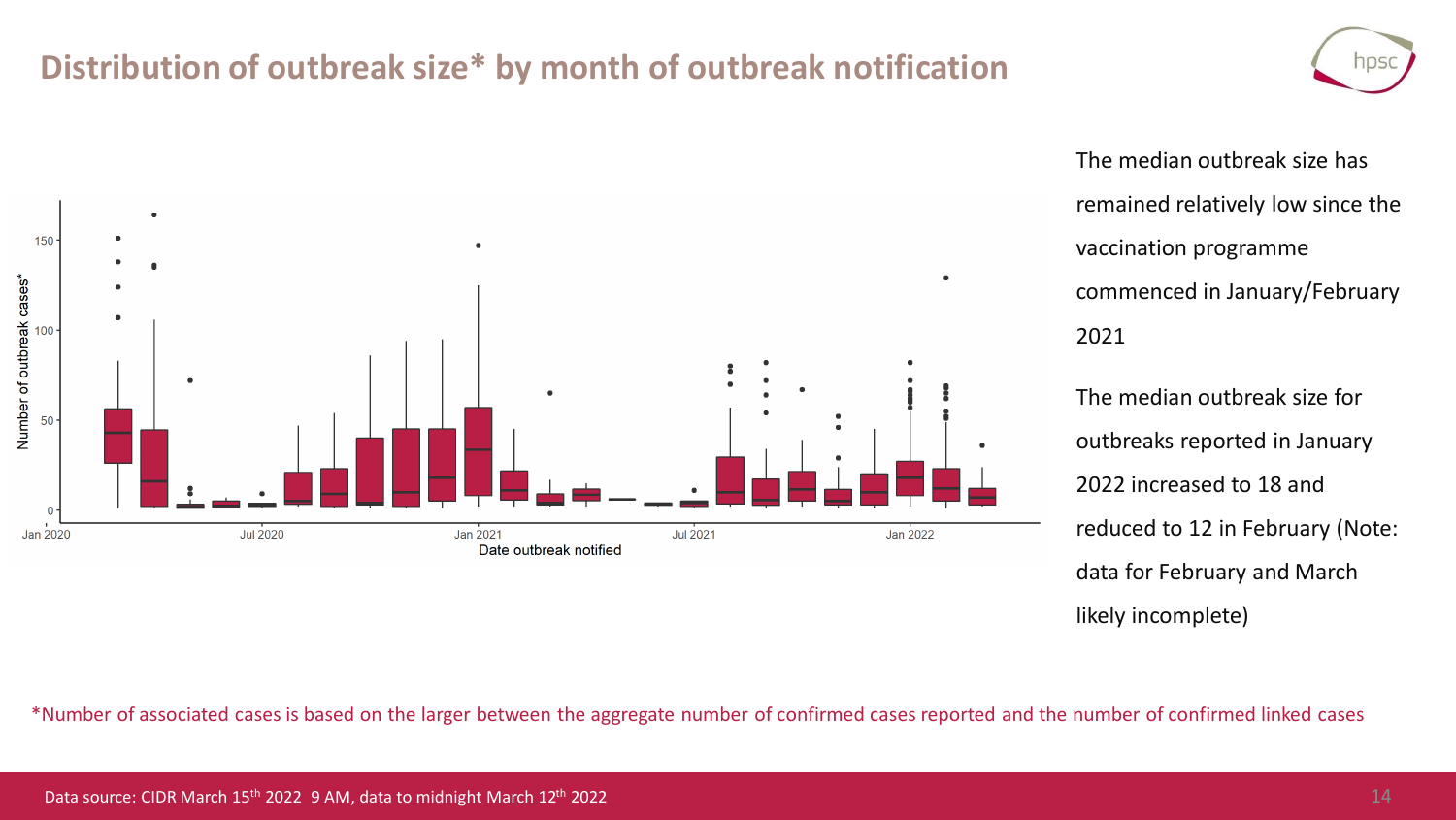### **Distribution of outbreak size\* by month of outbreak notification**



The median outbreak size has remained relatively low since the vaccination programme commenced in January/February 2021

The median outbreak size for outbreaks reported in January 2022 increased to 18 and reduced to 12 in February (Note: data for February and March likely incomplete)

\*Number of associated cases is based on the larger between the aggregate number of confirmed cases reported and the number of confirmed linked cases

hps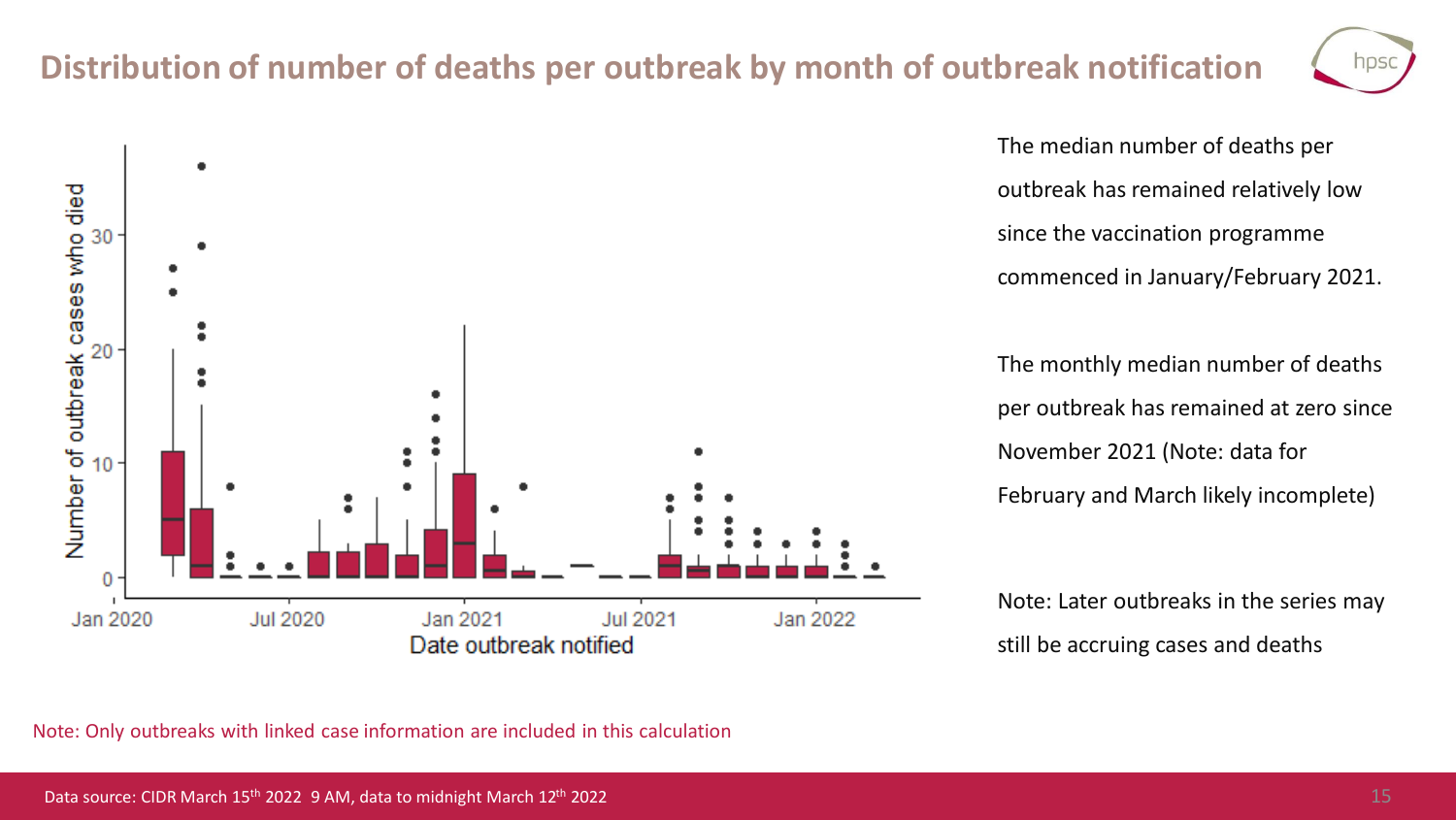### **Distribution of number of deaths per outbreak by month of outbreak notification**

**Jul 2021** 

Jan 2022



The median number of deaths per outbreak has remained relatively low since the vaccination programme commenced in January/February 2021.

The monthly median number of deaths per outbreak has remained at zero since November 2021 (Note: data for February and March likely incomplete)

Note: Later outbreaks in the series may still be accruing cases and deaths



Jan 2021

Date outbreak notified

**Jul 2020** 

Number of outbreak cases who died

30

20

 $10$ 

0

Jan 2020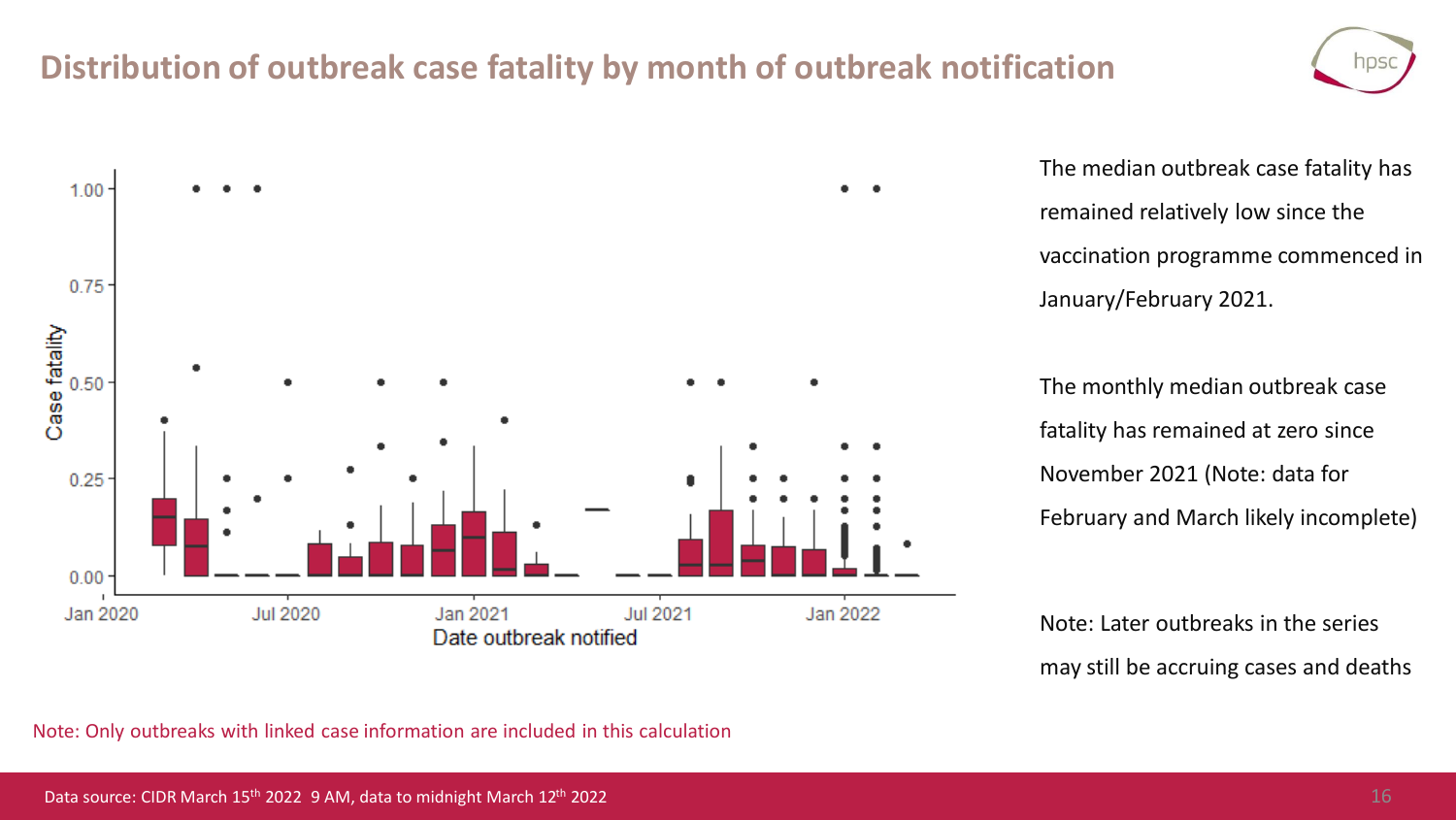### **Distribution of outbreak case fatality by month of outbreak notification**





The median outbreak case fatality has remained relatively low since the vaccination programme commenced in January/February 2021.

The monthly median outbreak case fatality has remained at zero since November 2021 (Note: data for February and March likely incomplete)

Note: Later outbreaks in the series may still be accruing cases and deaths

Note: Only outbreaks with linked case information are included in this calculation